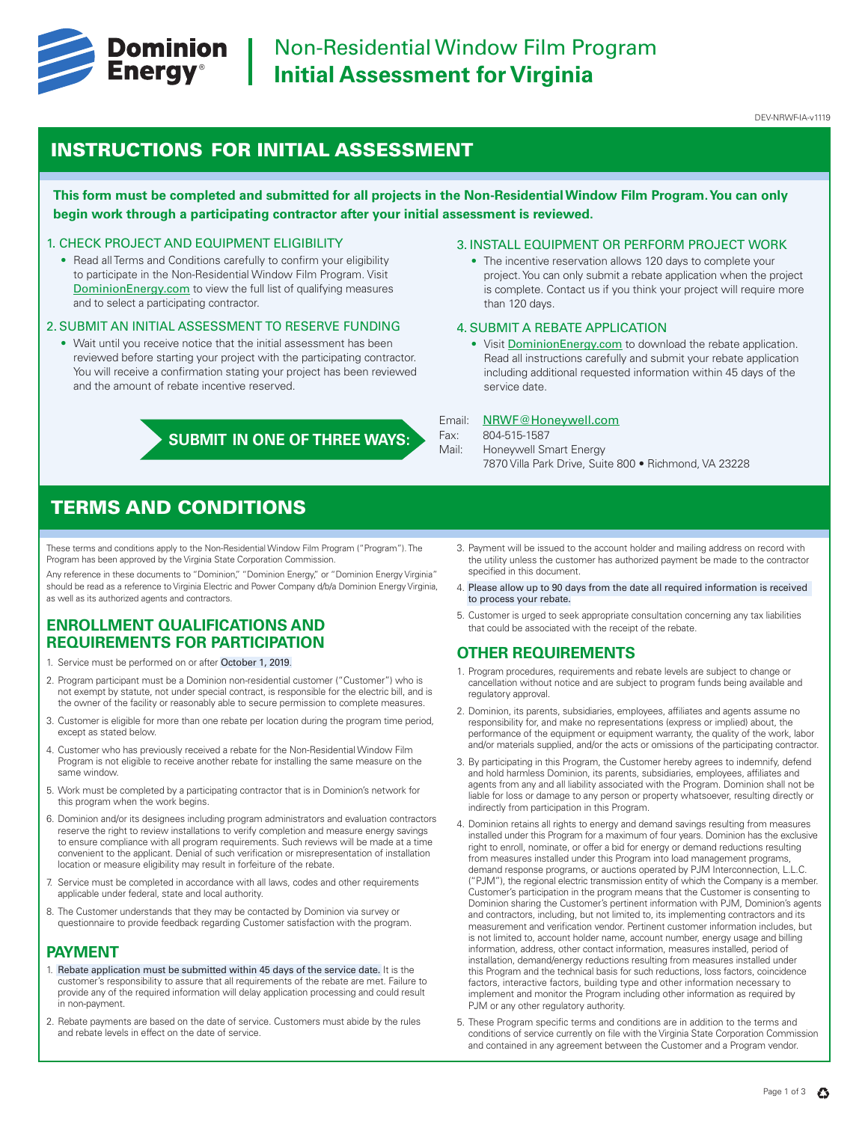

# INSTRUCTIONS FOR INITIAL ASSESSMENT

**This form must be completed and submitted for all projects in the Non-Residential Window Film Program. You can only begin work through a participating contractor after your initial assessment is reviewed.**

### 1. CHECK PROJECT AND EQUIPMENT ELIGIBILITY

• Read all Terms and Conditions carefully to confirm your eligibility to participate in the Non-Residential Window Film Program. Visit DominionEnergy.com to view the full list of qualifying measures and to select a participating contractor.

### 2. SUBMIT AN INITIAL ASSESSMENT TO RESERVE FUNDING

• Wait until you receive notice that the initial assessment has been reviewed before starting your project with the participating contractor. You will receive a confirmation stating your project has been reviewed and the amount of rebate incentive reserved.

**SUBMIT IN ONE OF THREE WAYS:**

#### 3. INSTALL EQUIPMENT OR PERFORM PROJECT WORK

• The incentive reservation allows 120 days to complete your project. You can only submit a rebate application when the project is complete. Contact us if you think your project will require more than 120 days.

### 4. SUBMIT A REBATE APPLICATION

• Visit DominionEnergy.com to download the rebate application. Read all instructions carefully and submit your rebate application including additional requested information within 45 days of the service date.

#### Email: NRWF@Honeywell.com

Fax: 804-515-1587

- Mail: Honeywell Smart Energy
	- 7870 Villa Park Drive, Suite 800 Richmond, VA 23228

# TERMS AND CONDITIONS

These terms and conditions apply to the Non-Residential Window Film Program ("Program"). The Program has been approved by the Virginia State Corporation Commission.

Any reference in these documents to "Dominion," "Dominion Energy," or "Dominion Energy Virginia" should be read as a reference to Virginia Electric and Power Company d/b/a Dominion Energy Virginia, as well as its authorized agents and contractors.

# **ENROLLMENT QUALIFICATIONS AND REQUIREMENTS FOR PARTICIPATION**

- 1. Service must be performed on or after October 1, 2019.
- 2. Program participant must be a Dominion non-residential customer ("Customer") who is not exempt by statute, not under special contract, is responsible for the electric bill, and is the owner of the facility or reasonably able to secure permission to complete measures.
- 3. Customer is eligible for more than one rebate per location during the program time period, except as stated below.
- 4. Customer who has previously received a rebate for the Non-Residential Window Film Program is not eligible to receive another rebate for installing the same measure on the same window.
- 5. Work must be completed by a participating contractor that is in Dominion's network for this program when the work begins.
- 6. Dominion and/or its designees including program administrators and evaluation contractors reserve the right to review installations to verify completion and measure energy savings to ensure compliance with all program requirements. Such reviews will be made at a time convenient to the applicant. Denial of such verification or misrepresentation of installation location or measure eligibility may result in forfeiture of the rebate.
- 7. Service must be completed in accordance with all laws, codes and other requirements applicable under federal, state and local authority.
- 8. The Customer understands that they may be contacted by Dominion via survey or questionnaire to provide feedback regarding Customer satisfaction with the program.

## **PAYMENT**

- 1. Rebate application must be submitted within 45 days of the service date. It is the customer's responsibility to assure that all requirements of the rebate are met. Failure to provide any of the required information will delay application processing and could result in non-payment.
- 2. Rebate payments are based on the date of service. Customers must abide by the rules and rebate levels in effect on the date of service.
- 3. Payment will be issued to the account holder and mailing address on record with the utility unless the customer has authorized payment be made to the contractor specified in this document.
- 4. Please allow up to 90 days from the date all required information is received to process your rebate.
- 5. Customer is urged to seek appropriate consultation concerning any tax liabilities that could be associated with the receipt of the rebate.

## **OTHER REQUIREMENTS**

- 1. Program procedures, requirements and rebate levels are subject to change or cancellation without notice and are subject to program funds being available and regulatory approval.
- 2. Dominion, its parents, subsidiaries, employees, affiliates and agents assume no responsibility for, and make no representations (express or implied) about, the performance of the equipment or equipment warranty, the quality of the work, labor and/or materials supplied, and/or the acts or omissions of the participating contractor.
- 3. By participating in this Program, the Customer hereby agrees to indemnify, defend and hold harmless Dominion, its parents, subsidiaries, employees, affiliates and agents from any and all liability associated with the Program. Dominion shall not be liable for loss or damage to any person or property whatsoever, resulting directly or indirectly from participation in this Program.
- 4. Dominion retains all rights to energy and demand savings resulting from measures installed under this Program for a maximum of four years. Dominion has the exclusive right to enroll, nominate, or offer a bid for energy or demand reductions resulting from measures installed under this Program into load management programs, demand response programs, or auctions operated by PJM Interconnection, L.L.C. ("PJM"), the regional electric transmission entity of which the Company is a member. Customer's participation in the program means that the Customer is consenting to Dominion sharing the Customer's pertinent information with PJM, Dominion's agents and contractors, including, but not limited to, its implementing contractors and its measurement and verification vendor. Pertinent customer information includes, but is not limited to, account holder name, account number, energy usage and billing information, address, other contact information, measures installed, period of installation, demand/energy reductions resulting from measures installed under this Program and the technical basis for such reductions, loss factors, coincidence factors, interactive factors, building type and other information necessary to implement and monitor the Program including other information as required by PJM or any other regulatory authority.
- 5. These Program specific terms and conditions are in addition to the terms and conditions of service currently on file with the Virginia State Corporation Commission and contained in any agreement between the Customer and a Program vendor.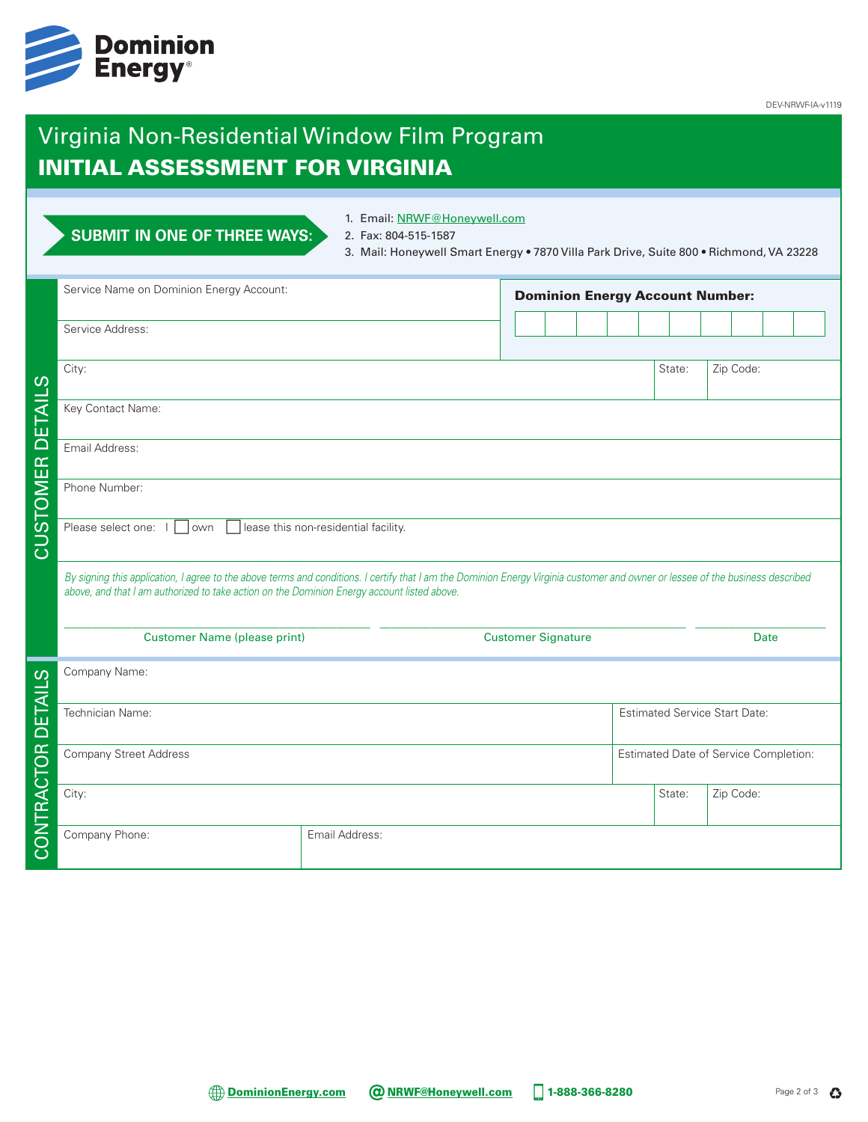

DEV-NRWF-IA-v1119

# Virginia Non-Residential Window Film Program INITIAL ASSESSMENT FOR VIRGINIA

|                                | <b>SUBMIT IN ONE OF THREE WAYS:</b>      | 1. Email: NRWF@Honeywell.com<br>2. Fax: 804-515-1587<br>3. Mail: Honeywell Smart Energy . 7870 Villa Park Drive, Suite 800 . Richmond, VA 23228                                                                                                                                |                                      |  |  |  |                                        |        |                                       |           |  |  |
|--------------------------------|------------------------------------------|--------------------------------------------------------------------------------------------------------------------------------------------------------------------------------------------------------------------------------------------------------------------------------|--------------------------------------|--|--|--|----------------------------------------|--------|---------------------------------------|-----------|--|--|
|                                | Service Name on Dominion Energy Account: |                                                                                                                                                                                                                                                                                |                                      |  |  |  | <b>Dominion Energy Account Number:</b> |        |                                       |           |  |  |
|                                | Service Address:                         |                                                                                                                                                                                                                                                                                |                                      |  |  |  |                                        |        |                                       |           |  |  |
| ၯ                              | City:                                    |                                                                                                                                                                                                                                                                                |                                      |  |  |  |                                        | State: |                                       | Zip Code: |  |  |
| DETAIL                         | Key Contact Name:                        |                                                                                                                                                                                                                                                                                |                                      |  |  |  |                                        |        |                                       |           |  |  |
| $\mathbb{E}$                   | Email Address:                           |                                                                                                                                                                                                                                                                                |                                      |  |  |  |                                        |        |                                       |           |  |  |
| MO                             | Phone Number:                            |                                                                                                                                                                                                                                                                                |                                      |  |  |  |                                        |        |                                       |           |  |  |
| ნ<br>თ<br>۔<br>ت               | lease this non-residential facility.     |                                                                                                                                                                                                                                                                                |                                      |  |  |  |                                        |        |                                       |           |  |  |
|                                |                                          | By signing this application, I agree to the above terms and conditions. I certify that I am the Dominion Energy Virginia customer and owner or lessee of the business described<br>above, and that I am authorized to take action on the Dominion Energy account listed above. |                                      |  |  |  |                                        |        |                                       |           |  |  |
|                                | <b>Customer Name (please print)</b>      |                                                                                                                                                                                                                                                                                | <b>Customer Signature</b>            |  |  |  |                                        | Date   |                                       |           |  |  |
| ၯ<br>$\overline{\overline{A}}$ | Company Name:                            |                                                                                                                                                                                                                                                                                |                                      |  |  |  |                                        |        |                                       |           |  |  |
| Б<br>О                         | Technician Name:                         |                                                                                                                                                                                                                                                                                | <b>Estimated Service Start Date:</b> |  |  |  |                                        |        |                                       |           |  |  |
|                                | <b>Company Street Address</b>            |                                                                                                                                                                                                                                                                                |                                      |  |  |  |                                        |        | Estimated Date of Service Completion: |           |  |  |
| CONTRACTOR                     | City:                                    |                                                                                                                                                                                                                                                                                |                                      |  |  |  |                                        | State: |                                       | Zip Code: |  |  |
|                                | Company Phone:                           | Email Address:                                                                                                                                                                                                                                                                 |                                      |  |  |  |                                        |        |                                       |           |  |  |